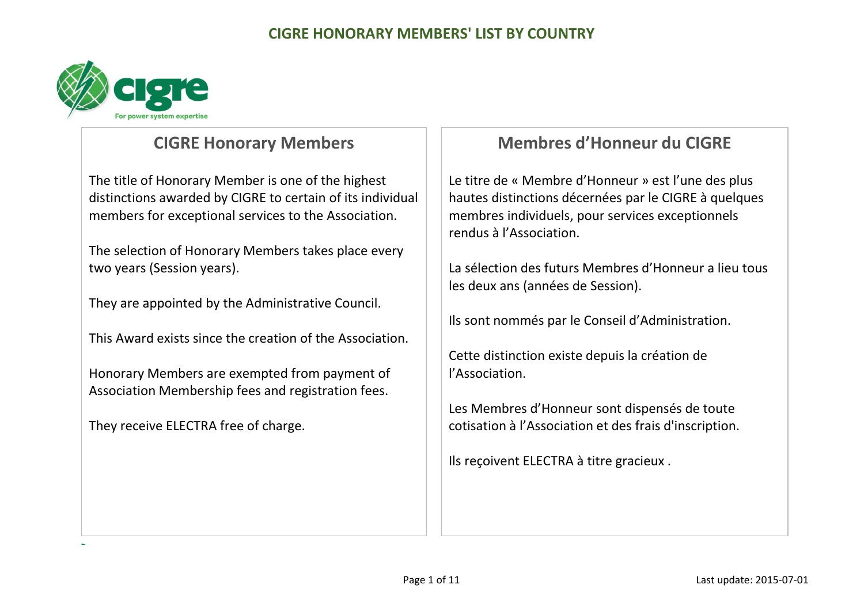

## **CIGRE Honorary Members**

The title of Honorary Member is one of the highest distinctions awarded by CIGRE to certain of its individual members for exceptional services to the Association.

The selection of Honorary Members takes place every two years (Session years).

They are appointed by the Administrative Council.

This Award exists since the creation of the Association.

Honorary Members are exempted from payment of Association Membership fees and registration fees.

They receive ELECTRA free of charge.

# **Membres d'Honneur du CIGRE**

Le titre de « Membre d'Honneur » est l'une des plus hautes distinctions décernées par le CIGRE à quelques membres individuels, pour services exceptionnels rendus à l'Association.

La sélection des futurs Membres d'Honneur a lieu tous les deux ans (années de Session).

Ils sont nommés par le Conseil d'Administration.

Cette distinction existe depuis la création de l'Association.

Les Membres d'Honneur sont dispensés de toute cotisation à l'Association et des frais d'inscription.

Ils reçoivent ELECTRA à titre gracieux .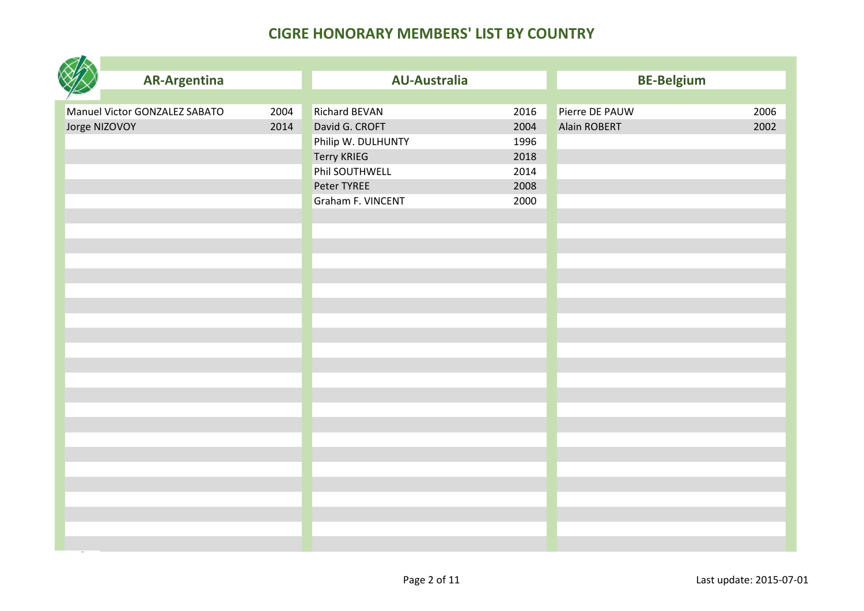|               | <b>AR-Argentina</b>           |      | <b>AU-Australia</b>  |      | <b>BE-Belgium</b>   |      |
|---------------|-------------------------------|------|----------------------|------|---------------------|------|
|               |                               |      |                      |      |                     |      |
|               | Manuel Victor GONZALEZ SABATO | 2004 | <b>Richard BEVAN</b> | 2016 | Pierre DE PAUW      | 2006 |
| Jorge NIZOVOY |                               | 2014 | David G. CROFT       | 2004 | <b>Alain ROBERT</b> | 2002 |
|               |                               |      | Philip W. DULHUNTY   | 1996 |                     |      |
|               |                               |      | <b>Terry KRIEG</b>   | 2018 |                     |      |
|               |                               |      | Phil SOUTHWELL       | 2014 |                     |      |
|               |                               |      | Peter TYREE          | 2008 |                     |      |
|               |                               |      | Graham F. VINCENT    | 2000 |                     |      |
|               |                               |      |                      |      |                     |      |
|               |                               |      |                      |      |                     |      |
|               |                               |      |                      |      |                     |      |
|               |                               |      |                      |      |                     |      |
|               |                               |      |                      |      |                     |      |
|               |                               |      |                      |      |                     |      |
|               |                               |      |                      |      |                     |      |
|               |                               |      |                      |      |                     |      |
|               |                               |      |                      |      |                     |      |
|               |                               |      |                      |      |                     |      |
|               |                               |      |                      |      |                     |      |
|               |                               |      |                      |      |                     |      |
|               |                               |      |                      |      |                     |      |
|               |                               |      |                      |      |                     |      |
|               |                               |      |                      |      |                     |      |
|               |                               |      |                      |      |                     |      |
|               |                               |      |                      |      |                     |      |
|               |                               |      |                      |      |                     |      |
|               |                               |      |                      |      |                     |      |
|               |                               |      |                      |      |                     |      |
|               |                               |      |                      |      |                     |      |
|               |                               |      |                      |      |                     |      |
|               |                               |      |                      |      |                     |      |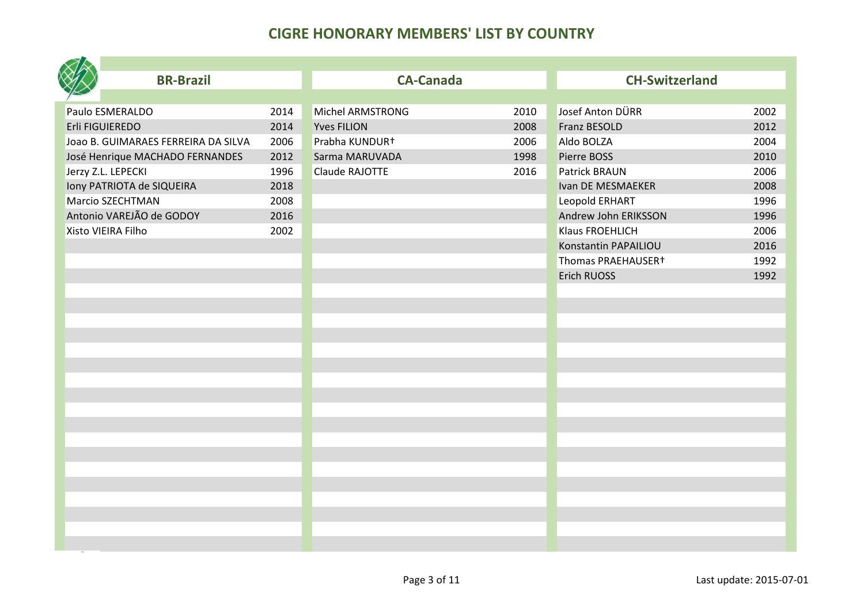| <b>BR-Brazil</b>                    |      | <b>CA-Canada</b>   |      | <b>CH-Switzerland</b> |      |
|-------------------------------------|------|--------------------|------|-----------------------|------|
|                                     |      |                    |      |                       |      |
| Paulo ESMERALDO                     | 2014 | Michel ARMSTRONG   | 2010 | Josef Anton DÜRR      | 2002 |
| Erli FIGUIEREDO                     | 2014 | <b>Yves FILION</b> | 2008 | <b>Franz BESOLD</b>   | 2012 |
| JOAO B. GUIMARAES FERREIRA DA SILVA | 2006 | Prabha KUNDUR+     | 2006 | Aldo BOLZA            | 2004 |
| José Henrique MACHADO FERNANDES     | 2012 | Sarma MARUVADA     | 1998 | Pierre BOSS           | 2010 |
| Jerzy Z.L. LEPECKI                  | 1996 | Claude RAJOTTE     | 2016 | <b>Patrick BRAUN</b>  | 2006 |
| Iony PATRIOTA de SIQUEIRA           | 2018 |                    |      | Ivan DE MESMAEKER     | 2008 |
| Marcio SZECHTMAN                    | 2008 |                    |      | Leopold ERHART        | 1996 |
| Antonio VAREJÃO de GODOY            | 2016 |                    |      | Andrew John ERIKSSON  | 1996 |
| Xisto VIEIRA Filho                  | 2002 |                    |      | Klaus FROEHLICH       | 2006 |
|                                     |      |                    |      | Konstantin PAPAILIOU  | 2016 |
|                                     |      |                    |      | Thomas PRAEHAUSER+    | 1992 |
|                                     |      |                    |      | Erich RUOSS           | 1992 |
|                                     |      |                    |      |                       |      |
|                                     |      |                    |      |                       |      |
|                                     |      |                    |      |                       |      |
|                                     |      |                    |      |                       |      |
|                                     |      |                    |      |                       |      |
|                                     |      |                    |      |                       |      |
|                                     |      |                    |      |                       |      |
|                                     |      |                    |      |                       |      |
|                                     |      |                    |      |                       |      |
|                                     |      |                    |      |                       |      |
|                                     |      |                    |      |                       |      |
|                                     |      |                    |      |                       |      |
|                                     |      |                    |      |                       |      |
|                                     |      |                    |      |                       |      |
|                                     |      |                    |      |                       |      |
|                                     |      |                    |      |                       |      |
|                                     |      |                    |      |                       |      |
|                                     |      |                    |      |                       |      |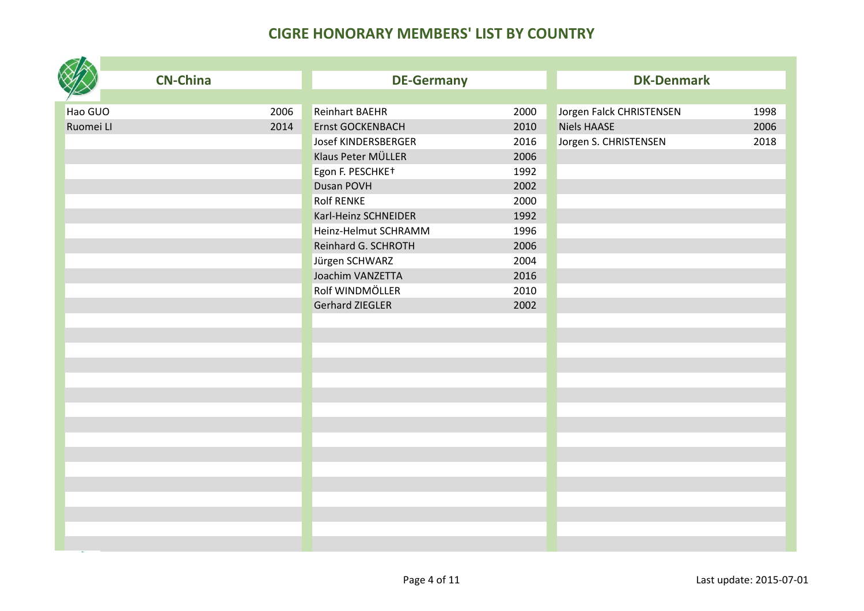|           | <b>CN-China</b> | <b>DE-Germany</b>      |      | <b>DK-Denmark</b>        |      |
|-----------|-----------------|------------------------|------|--------------------------|------|
|           |                 |                        |      |                          |      |
| Hao GUO   | 2006            | <b>Reinhart BAEHR</b>  | 2000 | Jorgen Falck CHRISTENSEN | 1998 |
| Ruomei LI | 2014            | Ernst GOCKENBACH       | 2010 | <b>Niels HAASE</b>       | 2006 |
|           |                 | Josef KINDERSBERGER    | 2016 | Jorgen S. CHRISTENSEN    | 2018 |
|           |                 | Klaus Peter MÜLLER     | 2006 |                          |      |
|           |                 | Egon F. PESCHKE+       | 1992 |                          |      |
|           |                 | Dusan POVH             | 2002 |                          |      |
|           |                 | <b>Rolf RENKE</b>      | 2000 |                          |      |
|           |                 | Karl-Heinz SCHNEIDER   | 1992 |                          |      |
|           |                 | Heinz-Helmut SCHRAMM   | 1996 |                          |      |
|           |                 | Reinhard G. SCHROTH    | 2006 |                          |      |
|           |                 | Jürgen SCHWARZ         | 2004 |                          |      |
|           |                 | Joachim VANZETTA       | 2016 |                          |      |
|           |                 | Rolf WINDMÖLLER        | 2010 |                          |      |
|           |                 | <b>Gerhard ZIEGLER</b> | 2002 |                          |      |
|           |                 |                        |      |                          |      |
|           |                 |                        |      |                          |      |
|           |                 |                        |      |                          |      |
|           |                 |                        |      |                          |      |
|           |                 |                        |      |                          |      |
|           |                 |                        |      |                          |      |
|           |                 |                        |      |                          |      |
|           |                 |                        |      |                          |      |
|           |                 |                        |      |                          |      |
|           |                 |                        |      |                          |      |
|           |                 |                        |      |                          |      |
|           |                 |                        |      |                          |      |
|           |                 |                        |      |                          |      |
|           |                 |                        |      |                          |      |
|           |                 |                        |      |                          |      |
|           |                 |                        |      |                          |      |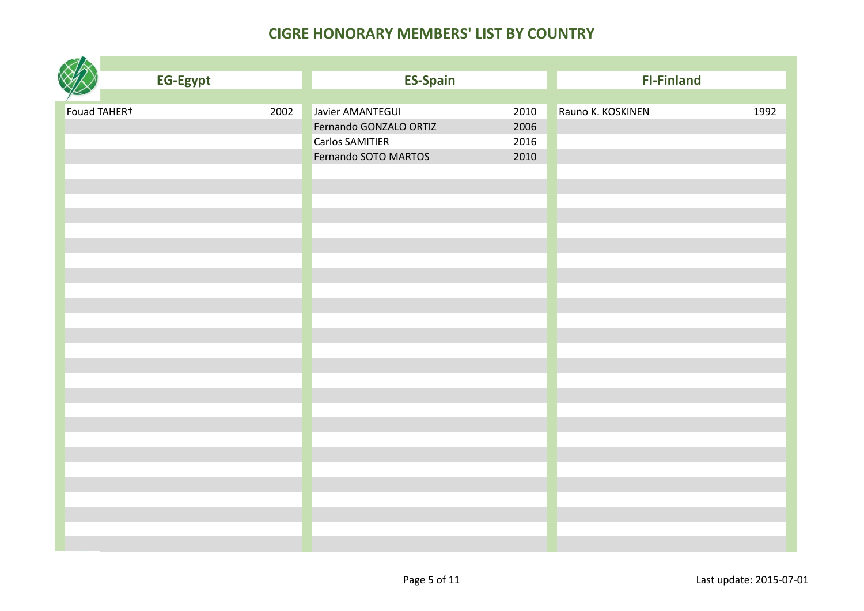|              | <b>EG-Egypt</b> |      | <b>ES-Spain</b>        |      | <b>FI-Finland</b> |      |
|--------------|-----------------|------|------------------------|------|-------------------|------|
|              |                 |      |                        |      |                   |      |
| Fouad TAHER+ |                 | 2002 | Javier AMANTEGUI       | 2010 | Rauno K. KOSKINEN | 1992 |
|              |                 |      | Fernando GONZALO ORTIZ | 2006 |                   |      |
|              |                 |      | <b>Carlos SAMITIER</b> | 2016 |                   |      |
|              |                 |      | Fernando SOTO MARTOS   | 2010 |                   |      |
|              |                 |      |                        |      |                   |      |
|              |                 |      |                        |      |                   |      |
|              |                 |      |                        |      |                   |      |
|              |                 |      |                        |      |                   |      |
|              |                 |      |                        |      |                   |      |
|              |                 |      |                        |      |                   |      |
|              |                 |      |                        |      |                   |      |
|              |                 |      |                        |      |                   |      |
|              |                 |      |                        |      |                   |      |
|              |                 |      |                        |      |                   |      |
|              |                 |      |                        |      |                   |      |
|              |                 |      |                        |      |                   |      |
|              |                 |      |                        |      |                   |      |
|              |                 |      |                        |      |                   |      |
|              |                 |      |                        |      |                   |      |
|              |                 |      |                        |      |                   |      |
|              |                 |      |                        |      |                   |      |
|              |                 |      |                        |      |                   |      |
|              |                 |      |                        |      |                   |      |
|              |                 |      |                        |      |                   |      |
|              |                 |      |                        |      |                   |      |
|              |                 |      |                        |      |                   |      |
|              |                 |      |                        |      |                   |      |
|              |                 |      |                        |      |                   |      |
|              |                 |      |                        |      |                   |      |
|              |                 |      |                        |      |                   |      |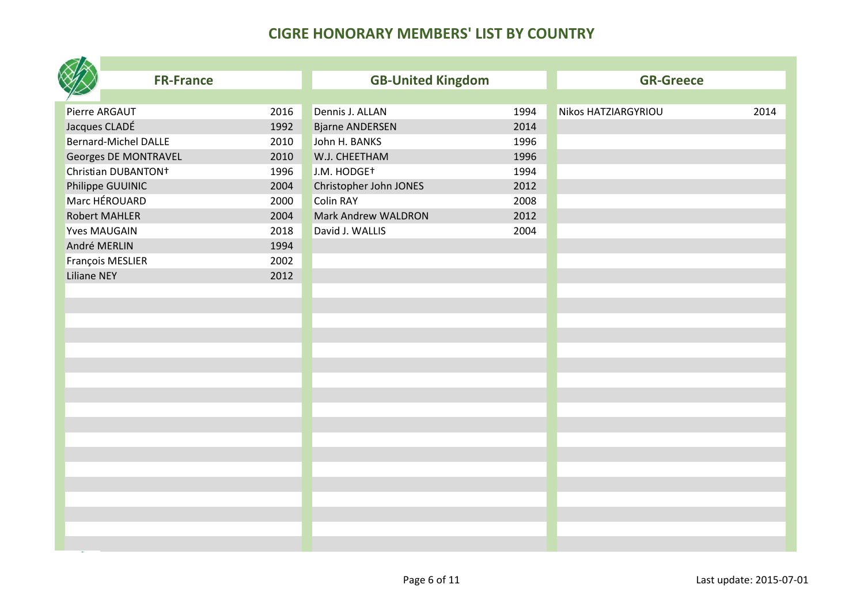| <b>FR-France</b>                |      | <b>GB-United Kingdom</b> |      | <b>GR-Greece</b>           |      |
|---------------------------------|------|--------------------------|------|----------------------------|------|
|                                 |      |                          |      |                            |      |
| Pierre ARGAUT                   | 2016 | Dennis J. ALLAN          | 1994 | <b>Nikos HATZIARGYRIOU</b> | 2014 |
| Jacques CLADÉ                   | 1992 | <b>Bjarne ANDERSEN</b>   | 2014 |                            |      |
| <b>Bernard-Michel DALLE</b>     | 2010 | John H. BANKS            | 1996 |                            |      |
| Georges DE MONTRAVEL            | 2010 | W.J. CHEETHAM            | 1996 |                            |      |
| Christian DUBANTON <sup>+</sup> | 1996 | J.M. HODGE <sup>+</sup>  | 1994 |                            |      |
| Philippe GUUINIC                | 2004 | Christopher John JONES   | 2012 |                            |      |
| Marc HÉROUARD                   | 2000 | <b>Colin RAY</b>         | 2008 |                            |      |
| <b>Robert MAHLER</b>            | 2004 | Mark Andrew WALDRON      | 2012 |                            |      |
| <b>Yves MAUGAIN</b>             | 2018 | David J. WALLIS          | 2004 |                            |      |
| André MERLIN                    | 1994 |                          |      |                            |      |
| François MESLIER                | 2002 |                          |      |                            |      |
| <b>Liliane NEY</b>              | 2012 |                          |      |                            |      |
|                                 |      |                          |      |                            |      |
|                                 |      |                          |      |                            |      |
|                                 |      |                          |      |                            |      |
|                                 |      |                          |      |                            |      |
|                                 |      |                          |      |                            |      |
|                                 |      |                          |      |                            |      |
|                                 |      |                          |      |                            |      |
|                                 |      |                          |      |                            |      |
|                                 |      |                          |      |                            |      |
|                                 |      |                          |      |                            |      |
|                                 |      |                          |      |                            |      |
|                                 |      |                          |      |                            |      |
|                                 |      |                          |      |                            |      |
|                                 |      |                          |      |                            |      |
|                                 |      |                          |      |                            |      |
|                                 |      |                          |      |                            |      |
|                                 |      |                          |      |                            |      |
|                                 |      |                          |      |                            |      |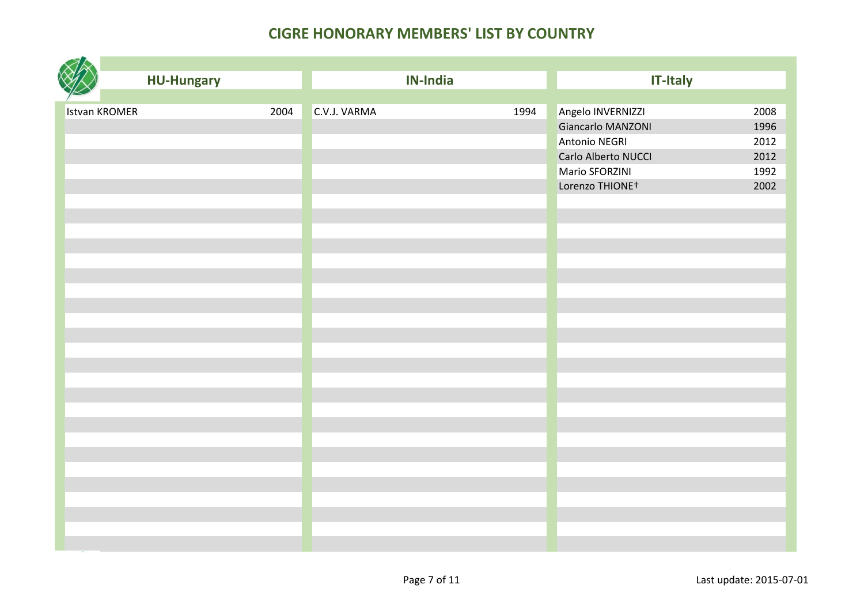|                      | <b>HU-Hungary</b> |      |              | <b>IN-India</b> |      | <b>IT-Italy</b>             |      |
|----------------------|-------------------|------|--------------|-----------------|------|-----------------------------|------|
|                      |                   |      |              |                 |      |                             |      |
| <b>Istvan KROMER</b> |                   | 2004 | C.V.J. VARMA |                 | 1994 | Angelo INVERNIZZI           | 2008 |
|                      |                   |      |              |                 |      | Giancarlo MANZONI           | 1996 |
|                      |                   |      |              |                 |      | Antonio NEGRI               | 2012 |
|                      |                   |      |              |                 |      | Carlo Alberto NUCCI         | 2012 |
|                      |                   |      |              |                 |      | Mario SFORZINI              | 1992 |
|                      |                   |      |              |                 |      | Lorenzo THIONE <sup>+</sup> | 2002 |
|                      |                   |      |              |                 |      |                             |      |
|                      |                   |      |              |                 |      |                             |      |
|                      |                   |      |              |                 |      |                             |      |
|                      |                   |      |              |                 |      |                             |      |
|                      |                   |      |              |                 |      |                             |      |
|                      |                   |      |              |                 |      |                             |      |
|                      |                   |      |              |                 |      |                             |      |
|                      |                   |      |              |                 |      |                             |      |
|                      |                   |      |              |                 |      |                             |      |
|                      |                   |      |              |                 |      |                             |      |
|                      |                   |      |              |                 |      |                             |      |
|                      |                   |      |              |                 |      |                             |      |
|                      |                   |      |              |                 |      |                             |      |
|                      |                   |      |              |                 |      |                             |      |
|                      |                   |      |              |                 |      |                             |      |
|                      |                   |      |              |                 |      |                             |      |
|                      |                   |      |              |                 |      |                             |      |
|                      |                   |      |              |                 |      |                             |      |
|                      |                   |      |              |                 |      |                             |      |
|                      |                   |      |              |                 |      |                             |      |
|                      |                   |      |              |                 |      |                             |      |
|                      |                   |      |              |                 |      |                             |      |
|                      |                   |      |              |                 |      |                             |      |
|                      |                   |      |              |                 |      |                             |      |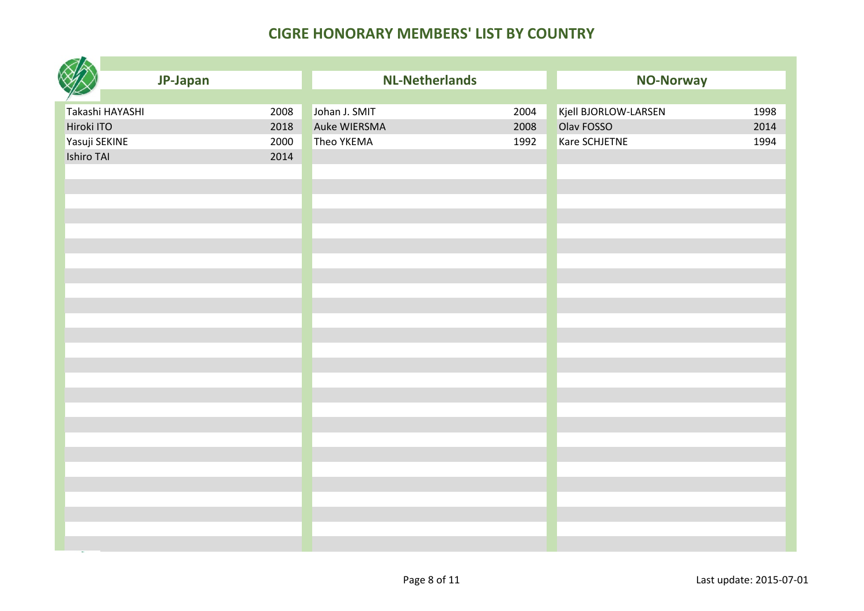| JP-Japan                | <b>NL-Netherlands</b> |      | <b>NO-Norway</b>     |      |
|-------------------------|-----------------------|------|----------------------|------|
|                         |                       |      |                      |      |
| 2008<br>Takashi HAYASHI | Johan J. SMIT         | 2004 | Kjell BJORLOW-LARSEN | 1998 |
| Hiroki ITO<br>2018      | Auke WIERSMA          | 2008 | Olav FOSSO           | 2014 |
| Yasuji SEKINE<br>2000   | Theo YKEMA            | 1992 | Kare SCHJETNE        | 1994 |
| Ishiro TAI<br>2014      |                       |      |                      |      |
|                         |                       |      |                      |      |
|                         |                       |      |                      |      |
|                         |                       |      |                      |      |
|                         |                       |      |                      |      |
|                         |                       |      |                      |      |
|                         |                       |      |                      |      |
|                         |                       |      |                      |      |
|                         |                       |      |                      |      |
|                         |                       |      |                      |      |
|                         |                       |      |                      |      |
|                         |                       |      |                      |      |
|                         |                       |      |                      |      |
|                         |                       |      |                      |      |
|                         |                       |      |                      |      |
|                         |                       |      |                      |      |
|                         |                       |      |                      |      |
|                         |                       |      |                      |      |
|                         |                       |      |                      |      |
|                         |                       |      |                      |      |
|                         |                       |      |                      |      |
|                         |                       |      |                      |      |
|                         |                       |      |                      |      |
|                         |                       |      |                      |      |
|                         |                       |      |                      |      |
|                         |                       |      |                      |      |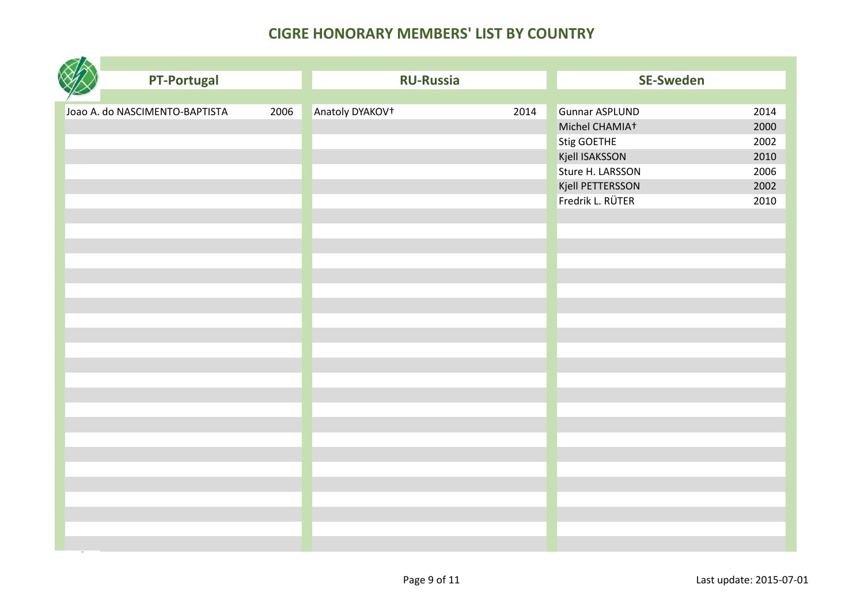| <b>PT-Portugal</b>             |      | <b>RU-Russia</b>            |      | <b>SE-Sweden</b>           |      |
|--------------------------------|------|-----------------------------|------|----------------------------|------|
|                                |      |                             |      |                            |      |
| Joao A. do NASCIMENTO-BAPTISTA | 2006 | Anatoly DYAKOV <sup>+</sup> | 2014 | <b>Gunnar ASPLUND</b>      | 2014 |
|                                |      |                             |      | Michel CHAMIA <sup>+</sup> | 2000 |
|                                |      |                             |      | Stig GOETHE                | 2002 |
|                                |      |                             |      | Kjell ISAKSSON             | 2010 |
|                                |      |                             |      | Sture H. LARSSON           | 2006 |
|                                |      |                             |      | Kjell PETTERSSON           | 2002 |
|                                |      |                             |      | Fredrik L. RÜTER           | 2010 |
|                                |      |                             |      |                            |      |
|                                |      |                             |      |                            |      |
|                                |      |                             |      |                            |      |
|                                |      |                             |      |                            |      |
|                                |      |                             |      |                            |      |
|                                |      |                             |      |                            |      |
|                                |      |                             |      |                            |      |
|                                |      |                             |      |                            |      |
|                                |      |                             |      |                            |      |
|                                |      |                             |      |                            |      |
|                                |      |                             |      |                            |      |
|                                |      |                             |      |                            |      |
|                                |      |                             |      |                            |      |
|                                |      |                             |      |                            |      |
|                                |      |                             |      |                            |      |
|                                |      |                             |      |                            |      |
|                                |      |                             |      |                            |      |
|                                |      |                             |      |                            |      |
|                                |      |                             |      |                            |      |
|                                |      |                             |      |                            |      |
|                                |      |                             |      |                            |      |
|                                |      |                             |      |                            |      |
|                                |      |                             |      |                            |      |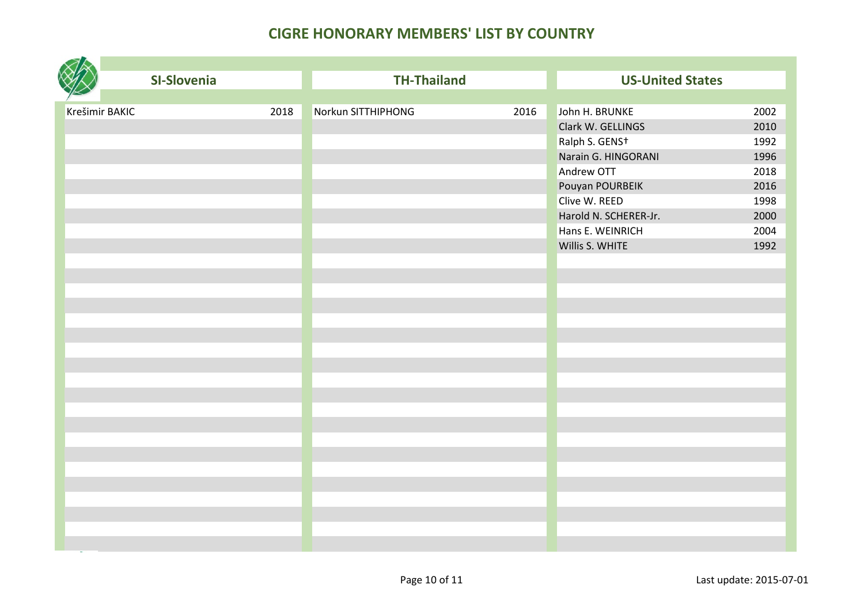| SI-Slovenia            | <b>TH-Thailand</b>         | <b>US-United States</b>       |
|------------------------|----------------------------|-------------------------------|
|                        |                            |                               |
| 2018<br>Krešimir BAKIC | Norkun SITTHIPHONG<br>2016 | John H. BRUNKE<br>2002        |
|                        |                            | Clark W. GELLINGS<br>2010     |
|                        |                            | Ralph S. GENS+<br>1992        |
|                        |                            | Narain G. HINGORANI<br>1996   |
|                        |                            | Andrew OTT<br>2018            |
|                        |                            | Pouyan POURBEIK<br>2016       |
|                        |                            | Clive W. REED<br>1998         |
|                        |                            | Harold N. SCHERER-Jr.<br>2000 |
|                        |                            | Hans E. WEINRICH<br>2004      |
|                        |                            | Willis S. WHITE<br>1992       |
|                        |                            |                               |
|                        |                            |                               |
|                        |                            |                               |
|                        |                            |                               |
|                        |                            |                               |
|                        |                            |                               |
|                        |                            |                               |
|                        |                            |                               |
|                        |                            |                               |
|                        |                            |                               |
|                        |                            |                               |
|                        |                            |                               |
|                        |                            |                               |
|                        |                            |                               |
|                        |                            |                               |
|                        |                            |                               |
|                        |                            |                               |
|                        |                            |                               |
|                        |                            |                               |
|                        |                            |                               |